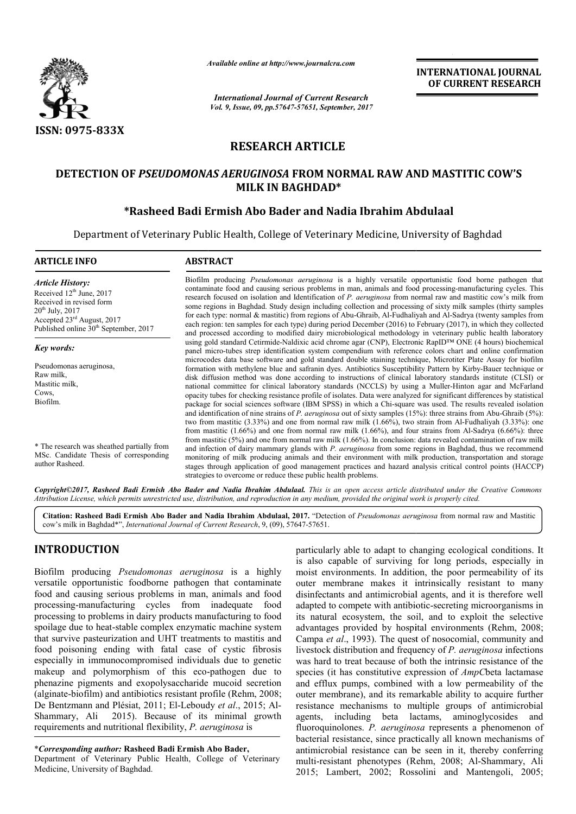

*Available online at http://www.journalcra.com*

*International Journal of Current Research Vol. 9, Issue, 09, pp.57647-57651, September, 2017* **INTERNATIONAL JOURNAL OF CURRENT RESEARCH**

# **RESEARCH ARTICLE**

## DETECTION OF *PSEUDOMONAS AERUGINOSA* FROM NORMAL RAW AND MASTITIC COW'S **MILK IN BAGHDAD\***

## **\*Rasheed Badi Ermish Abo Bader Rasheed and Nadia Ibrahim Abdulaal**

Department of Veterinary Public Health, College of Veterinary Medicine, University of Baghdad

| <b>ARTICLE INFO</b>                                                                                                                                                                              | <b>ABSTRACT</b>                                                                                                                                                                                                                                                                                                                                                                                                                                                                                                                                                                                                                                                                                                                                                                                                                                                                                                                                                                                                                                                                                                                                                                                                      |
|--------------------------------------------------------------------------------------------------------------------------------------------------------------------------------------------------|----------------------------------------------------------------------------------------------------------------------------------------------------------------------------------------------------------------------------------------------------------------------------------------------------------------------------------------------------------------------------------------------------------------------------------------------------------------------------------------------------------------------------------------------------------------------------------------------------------------------------------------------------------------------------------------------------------------------------------------------------------------------------------------------------------------------------------------------------------------------------------------------------------------------------------------------------------------------------------------------------------------------------------------------------------------------------------------------------------------------------------------------------------------------------------------------------------------------|
| <b>Article History:</b><br>Received $12th$ June, 2017<br>Received in revised form<br>$20^{th}$ July, $2017$<br>Accepted $23rd$ August, 2017<br>Published online 30 <sup>th</sup> September, 2017 | Biofilm producing <i>Pseudomonas aeruginosa</i> is a highly versatile opportunistic food borne pathogen that<br>contaminate food and causing serious problems in man, animals and food processing-manufacturing cycles. This<br>research focused on isolation and Identification of P. aeruginosa from normal raw and mastitic cow's milk from<br>some regions in Baghdad. Study design including collection and processing of sixty milk samples (thirty samples<br>for each type: normal & mastitic) from regions of Abu-Ghraib, Al-Fudhaliyah and Al-Sadrya (twenty samples from<br>each region: ten samples for each type) during period December (2016) to February (2017), in which they collected<br>and processed according to modified dairy microbiological methodology in veterinary public health laboratory                                                                                                                                                                                                                                                                                                                                                                                             |
| Key words:                                                                                                                                                                                       | using gold standard Cetirmide-Naldixic acid chrome agar (CNP), Electronic RapID <sup>TM</sup> ONE (4 hours) biochemical<br>panel micro-tubes strep identification system compendium with reference colors chart and online confirmation                                                                                                                                                                                                                                                                                                                                                                                                                                                                                                                                                                                                                                                                                                                                                                                                                                                                                                                                                                              |
| Pseudomonas aeruginosa,<br>Raw milk,<br>Mastitic milk,<br>Cows,<br>Biofilm.                                                                                                                      | microcodes data base software and gold standard double staining technique, Microtiter Plate Assay for biofilm<br>formation with methylene blue and safranin dyes. Antibiotics Susceptibility Pattern by Kirby-Bauer technique or<br>disk diffusion method was done according to instructions of clinical laboratory standards institute (CLSI) or<br>national committee for clinical laboratory standards (NCCLS) by using a Muller-Hinton agar and McFarland<br>opacity tubes for checking resistance profile of isolates. Data were analyzed for significant differences by statistical<br>package for social sciences software (IBM SPSS) in which a Chi-square was used. The results revealed isolation<br>and identification of nine strains of P. aeruginosa out of sixty samples $(15%)$ : three strains from Abu-Ghraib $(5%)$ :<br>two from mastitic $(3.33\%)$ and one from normal raw milk $(1.66\%)$ , two strain from Al-Fudhaliyah $(3.33\%)$ : one<br>from mastitic $(1.66\%)$ and one from normal raw milk $(1.66\%)$ , and four strains from Al-Sadrya $(6.66\%)$ : three<br>from mastitic $(5\%)$ and one from normal raw milk $(1.66\%)$ . In conclusion: data revealed contamination of raw milk |
| * The research was sheathed partially from<br>MSc. Candidate Thesis of corresponding<br>author Rasheed.                                                                                          | and infection of dairy mammary glands with P. aeruginosa from some regions in Baghdad, thus we recommend<br>monitoring of milk producing animals and their environment with milk production, transportation and storage<br>stages through application of good management practices and hazard analysis critical control points (HACCP)<br>strategies to overcome or reduce these public health problems.                                                                                                                                                                                                                                                                                                                                                                                                                                                                                                                                                                                                                                                                                                                                                                                                             |

Copyright©2017, Rasheed Badi Ermish Abo Bader and Nadia Ibrahim Abdulaal. This is an open access article distributed under the Creative Commons Attribution License, which permits unrestricted use, distribution, and reproduction in any medium, provided the original work is properly cited.

Citation: Rasheed Badi Ermish Abo Bader and Nadia Ibrahim Abdulaal, 2017. "Detection of *Pseudomonas aeruginosa* from normal raw and Mastitic cow's milk in Baghdad\*", *International Journal of Current Research* , 9, (09), 57647-57651.

## **INTRODUCTION**

Biofilm producing *Pseudomonas aeruginosa* is a highly versatile opportunistic foodborne pathogen that contaminate food and causing serious problems in man, animals and food processing-manufacturing cycles from inadequate food processing to problems in dairy products manufacturing to food spoilage due to heat-stable complex enzymatic machine system that survive pasteurization and UHT treatments to mastitis and food poisoning ending with fatal case of cystic fibrosis especially in immunocompromised individuals due to genetic makeup and polymorphism of this eco-pathogen due to phenazine pigments and exopolysaccharide mucoid secretion (alginate-biofilm) and antibiotics resistant profile (Rehm, 2008; De Bentzmann and Plésiat, 2011; El-Leboudy et al., 2015; Al-Shammary, Ali 2015). Because of its minimal growth requirements and nutritional flexibility, *P. aeruginosa* is manufacturing cycles from inadequate food<br>to problems in dairy products manufacturing to food<br>e to heat-stable complex enzymatic machine system<br>pasteurization and UHT treatments to mastitis and<br>ning ending with fatal case

\**Corresponding author:* **Rasheed Badi Ermish Abo Bader,**

Department of Veterinary Public Health, College of Veterinary Medicine, University of Baghdad.

particularly able to adapt to changing ecological conditions. It is also capable of surviving for long periods, especially in moist environments. In addition, the poor permeability of its outer membrane makes it intrinsically resistant to many disinfectants and antimicrobial agents, and it is therefore well adapted to compete with antibiotic-secreting microorganisms in its natural ecosystem, the soil, and to exploit the selective its natural ecosystem, the soil, and to exploit the selective advantages provided by hospital environments (Rehm, 2008; Campa et al., 1993). The quest of nosocomial, community and livestock distribution and frequency of *P. aeruginosa* infections was hard to treat because of both the intrinsic resistance of the species (it has constitutive expression of *AmpC*beta lactamase and efflux pumps, combined with a l low permeability of the outer membrane), and its remarkable ability to acquire further resistance mechanisms to multiple groups of antimicrobial outer membrane), and its remarkable ability to acquire further resistance mechanisms to multiple groups of antimicrobial agents, including beta lactams, aminoglycosides and fluoroquinolones. P. aeruginosa represents a phenomenon of bacterial resistance, since practically all known mechanisms of antimicrobial resistance can be seen in it, thereby conferring bacterial resistance, since practically all known mechanisms of antimicrobial resistance can be seen in it, thereby conferring multi-resistant phenotypes (Rehm, 2008; Al-Shammary, Ali 2015; Lambert, 2002; Rossolini and Mantengoli, 2005; ticularly able to adapt to changing ecological conditions. It also capable of surviving for long periods, especially in ist environments. In addition, the poor permeability of its ter membrane makes it intrinsically resist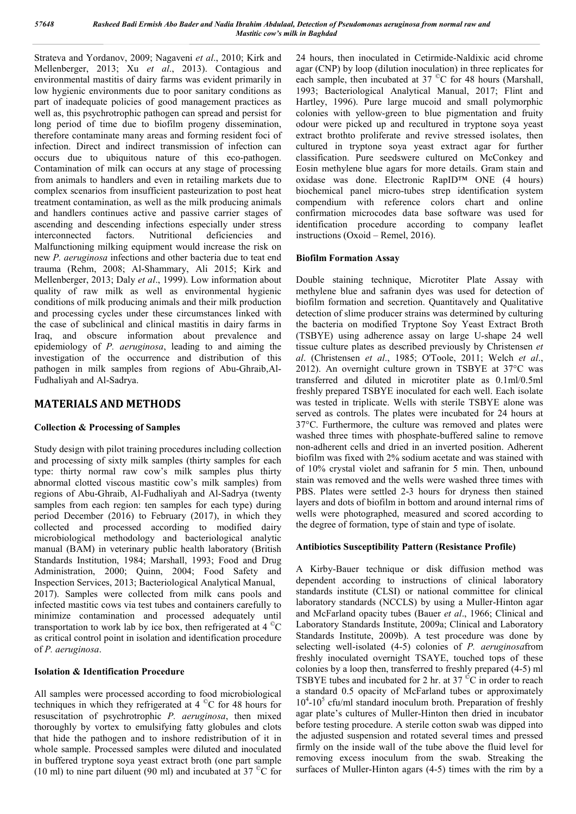Strateva and Yordanov, 2009; Nagaveni *et al*., 2010; Kirk and Mellenberger, 2013; Xu *et al*., 2013). Contagious and environmental mastitis of dairy farms was evident primarily in low hygienic environments due to poor sanitary conditions as part of inadequate policies of good management practices as well as, this psychrotrophic pathogen can spread and persist for long period of time due to biofilm progeny dissemination, therefore contaminate many areas and forming resident foci of infection. Direct and indirect transmission of infection can occurs due to ubiquitous nature of this eco-pathogen. Contamination of milk can occurs at any stage of processing from animals to handlers and even in retailing markets due to complex scenarios from insufficient pasteurization to post heat treatment contamination, as well as the milk producing animals and handlers continues active and passive carrier stages of ascending and descending infections especially under stress interconnected factors. Nutritional deficiencies and Malfunctioning milking equipment would increase the risk on new *P. aeruginosa* infections and other bacteria due to teat end trauma (Rehm, 2008; Al-Shammary, Ali 2015; Kirk and Mellenberger, 2013; Daly *et al*., 1999). Low information about quality of raw milk as well as environmental hygienic conditions of milk producing animals and their milk production and processing cycles under these circumstances linked with the case of subclinical and clinical mastitis in dairy farms in Iraq, and obscure information about prevalence and epidemiology of *P. aeruginosa*, leading to and aiming the investigation of the occurrence and distribution of this pathogen in milk samples from regions of Abu-Ghraib,Al-Fudhaliyah and Al-Sadrya.

### **MATERIALS AND METHODS**

### **Collection & Processing of Samples**

Study design with pilot training procedures including collection and processing of sixty milk samples (thirty samples for each type: thirty normal raw cow's milk samples plus thirty abnormal clotted viscous mastitic cow's milk samples) from regions of Abu-Ghraib, Al-Fudhaliyah and Al-Sadrya (twenty samples from each region: ten samples for each type) during period December (2016) to February (2017), in which they collected and processed according to modified dairy microbiological methodology and bacteriological analytic manual (BAM) in veterinary public health laboratory (British Standards Institution, 1984; Marshall, 1993; Food and Drug Administration, 2000; Quinn, 2004; Food Safety and Inspection Services, 2013; Bacteriological Analytical Manual, 2017). Samples were collected from milk cans pools and infected mastitic cows via test tubes and containers carefully to minimize contamination and processed adequately until transportation to work lab by ice box, then refrigerated at  $4^{\circ}$ C as critical control point in isolation and identification procedure of *P. aeruginosa*.

#### **Isolation & Identification Procedure**

All samples were processed according to food microbiological techniques in which they refrigerated at  $4^{\circ}$ C for 48 hours for resuscitation of psychrotrophic *P. aeruginosa*, then mixed thoroughly by vortex to emulsifying fatty globules and clots that hide the pathogen and to inshore redistribution of it in whole sample. Processed samples were diluted and inoculated in buffered tryptone soya yeast extract broth (one part sample (10 ml) to nine part diluent (90 ml) and incubated at 37 $\mathrm{^{\circ}C}$  for

24 hours, then inoculated in Cetirmide-Naldixic acid chrome agar (CNP) by loop (dilution inoculation) in three replicates for each sample, then incubated at 37 °C for 48 hours (Marshall, 1993; Bacteriological Analytical Manual, 2017; Flint and Hartley, 1996). Pure large mucoid and small polymorphic colonies with yellow-green to blue pigmentation and fruity odour were picked up and recultured in tryptone soya yeast extract brothto proliferate and revive stressed isolates, then cultured in tryptone soya yeast extract agar for further classification. Pure seedswere cultured on McConkey and Eosin methylene blue agars for more details. Gram stain and oxidase was done. Electronic RapID™ ONE (4 hours) biochemical panel micro-tubes strep identification system compendium with reference colors chart and online confirmation microcodes data base software was used for identification procedure according to company leaflet instructions (Oxoid – Remel, 2016).

#### **Biofilm Formation Assay**

Double staining technique, Microtiter Plate Assay with methylene blue and safranin dyes was used for detection of biofilm formation and secretion. Quantitavely and Qualitative detection of slime producer strains was determined by culturing the bacteria on modified Tryptone Soy Yeast Extract Broth (TSBYE) using adherence assay on large U-shape 24 well tissue culture plates as described previously by Christensen *et al*. (Christensen *et al*., 1985; O'Toole, 2011; Welch *et al*., 2012). An overnight culture grown in TSBYE at 37°C was transferred and diluted in microtiter plate as 0.1ml/0.5ml freshly prepared TSBYE inoculated for each well. Each isolate was tested in triplicate. Wells with sterile TSBYE alone was served as controls. The plates were incubated for 24 hours at 37°C. Furthermore, the culture was removed and plates were washed three times with phosphate-buffered saline to remove non-adherent cells and dried in an inverted position. Adherent biofilm was fixed with 2% sodium acetate and was stained with of 10% crystal violet and safranin for 5 min. Then, unbound stain was removed and the wells were washed three times with PBS. Plates were settled 2-3 hours for dryness then stained layers and dots of biofilm in bottom and around internal rims of wells were photographed, measured and scored according to the degree of formation, type of stain and type of isolate.

#### **Antibiotics Susceptibility Pattern (Resistance Profile)**

A Kirby-Bauer technique or disk diffusion method was dependent according to instructions of clinical laboratory standards institute (CLSI) or national committee for clinical laboratory standards (NCCLS) by using a Muller-Hinton agar and McFarland opacity tubes (Bauer *et al*., 1966; Clinical and Laboratory Standards Institute, 2009a; Clinical and Laboratory Standards Institute, 2009b). A test procedure was done by selecting well-isolated (4-5) colonies of *P. aeruginosa*from freshly inoculated overnight TSAYE, touched tops of these colonies by a loop then, transferred to freshly prepared (4-5) ml TSBYE tubes and incubated for 2 hr. at 37 $\mathrm{^{\circ}C}$  in order to reach a standard 0.5 opacity of McFarland tubes or approximately 10<sup>4</sup>-10<sup>5</sup> cfu/ml standard inoculum broth. Preparation of freshly agar plate's cultures of Muller-Hinton then dried in incubator before testing procedure. A sterile cotton swab was dipped into the adjusted suspension and rotated several times and pressed firmly on the inside wall of the tube above the fluid level for removing excess inoculum from the swab. Streaking the surfaces of Muller-Hinton agars (4-5) times with the rim by a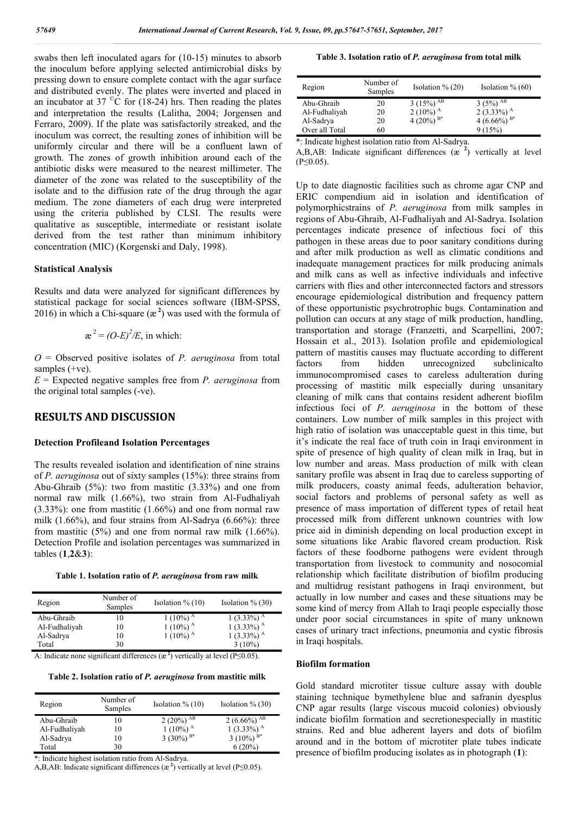swabs then left inoculated agars for (10-15) minutes to absorb the inoculum before applying selected antimicrobial disks by pressing down to ensure complete contact with the agar surface and distributed evenly. The plates were inverted and placed in an incubator at 37 $\degree$ C for (18-24) hrs. Then reading the plates and interpretation the results (Lalitha, 2004; Jorgensen and Ferraro, 2009). If the plate was satisfactorily streaked, and the inoculum was correct, the resulting zones of inhibition will be uniformly circular and there will be a confluent lawn of growth. The zones of growth inhibition around each of the antibiotic disks were measured to the nearest millimeter. The diameter of the zone was related to the susceptibility of the isolate and to the diffusion rate of the drug through the agar medium. The zone diameters of each drug were interpreted using the criteria published by CLSI. The results were qualitative as susceptible, intermediate or resistant isolate derived from the test rather than minimum inhibitory concentration (MIC) (Korgenski and Daly, 1998).

#### **Statistical Analysis**

Results and data were analyzed for significant differences by statistical package for social sciences software (IBM-SPSS, 2016) in which a Chi-square  $(\mathbb{R}^2)$  was used with the formula of

$$
\mathbf{a}^2 = (O-E)^2 / E
$$
, in which:

*O* = Observed positive isolates of *P. aeruginosa* from total samples (+ve).

*E* = Expected negative samples free from *P. aeruginosa* from the original total samples (-ve).

### **RESULTS AND DISCUSSION**

#### **Detection Profileand Isolation Percentages**

The results revealed isolation and identification of nine strains of *P. aeruginosa* out of sixty samples (15%): three strains from Abu-Ghraib (5%): two from mastitic (3.33%) and one from normal raw milk (1.66%), two strain from Al-Fudhaliyah (3.33%): one from mastitic (1.66%) and one from normal raw milk (1.66%), and four strains from Al-Sadrya (6.66%): three from mastitic (5%) and one from normal raw milk (1.66%). Detection Profile and isolation percentages was summarized in tables (**1**,**2**&**3**):

|  |  |  |  |  | Table 1. Isolation ratio of P. aeruginosa from raw milk |  |  |  |
|--|--|--|--|--|---------------------------------------------------------|--|--|--|
|--|--|--|--|--|---------------------------------------------------------|--|--|--|

| Region        | Number of<br>Samples | Isolation $\%$ (10)    | Isolation $\%$ (30)       |
|---------------|----------------------|------------------------|---------------------------|
| Abu-Ghraib    | ۱0                   | $1(10\%)$ <sup>A</sup> | $1(3.33\%)$ <sup>A</sup>  |
| Al-Fudhaliyah | 10                   | $1(10\%)$ <sup>A</sup> | $1(3.33\%)$ <sup>A</sup>  |
| Al-Sadrya     | 10                   | $1(10\%)$ <sup>A</sup> | 1 $(3.33\%)$ <sup>A</sup> |
| Total         | 30                   |                        | $3(10\%)$                 |

A: Indicate none significant differences  $(\mathbf{a}^2)$  vertically at level (P≤0.05).

**Table 2. Isolation ratio of** *P. aeruginosa* **from mastitic milk**

| Region        | Number of<br>Samples | Isolation $\%$ (10)    | Isolation $\%$ (30)        |
|---------------|----------------------|------------------------|----------------------------|
| Abu-Ghraib    | l0                   | 2 (20%) <sup>AB</sup>  | 2 $(6.66\%)$ <sup>AB</sup> |
| Al-Fudhaliyah | 10                   | $1(10\%)$ <sup>A</sup> | $1(3.33\%)$ <sup>A</sup>   |
| Al-Sadrya     | 10                   | 3 (30%) $B^*$          | 3 (10%) $B^*$              |
| Total         | 30                   |                        | $6(20\%)$                  |

\*: Indicate highest isolation ratio from Al-Sadrya.

A,B,AB: Indicate significant differences  $(\mathbb{R}^2)$  vertically at level (P $\leq$ 0.05).

#### **Table 3. Isolation ratio of** *P. aeruginosa* **from total milk**

| Region         | Number of<br>Samples | Isolation $\%$ (20)               | Isolation $\%$ (60)      |
|----------------|----------------------|-----------------------------------|--------------------------|
| Abu-Ghraib     | 20                   | 3 $(15\%)$ <sup>AB</sup>          | 3 (5%) <sup>AB</sup>     |
| Al-Fudhaliyah  | 20                   | 2 (10%) <sup>A</sup>              | $2(3.33\%)$ <sup>A</sup> |
| Al-Sadrya      | 20                   | 4 (20%) $B^*$                     | 4 (6.66%) $B^*$          |
| Over all Total | 60                   |                                   | 9(15%)                   |
|                |                      | * T 1' + 1' 1' 1' 1' 1' C + 1 C 1 |                          |

\*: Indicate highest isolation ratio from Al-Sadrya.

A,B,AB: Indicate significant differences (æ **<sup>2</sup>** ) vertically at level (P≤0.05).

Up to date diagnostic facilities such as chrome agar CNP and ERIC compendium aid in isolation and identification of polymorphicstrains of *P. aeruginosa* from milk samples in regions of Abu-Ghraib, Al-Fudhaliyah and Al-Sadrya. Isolation percentages indicate presence of infectious foci of this pathogen in these areas due to poor sanitary conditions during and after milk production as well as climatic conditions and inadequate management practices for milk producing animals and milk cans as well as infective individuals and infective carriers with flies and other interconnected factors and stressors encourage epidemiological distribution and frequency pattern of these opportunistic psychrotrophic bugs. Contamination and pollution can occurs at any stage of milk production, handling, transportation and storage (Franzetti, and Scarpellini, 2007; Hossain et al., 2013). Isolation profile and epidemiological pattern of mastitis causes may fluctuate according to different factors from hidden unrecognized subclinicalto immunocompromised cases to careless adulteration during processing of mastitic milk especially during unsanitary cleaning of milk cans that contains resident adherent biofilm infectious foci of *P. aeruginosa* in the bottom of these containers. Low number of milk samples in this project with high ratio of isolation was unacceptable quest in this time, but it's indicate the real face of truth coin in Iraqi environment in spite of presence of high quality of clean milk in Iraq, but in low number and areas. Mass production of milk with clean sanitary profile was absent in Iraq due to careless supporting of milk producers, coasty animal feeds, adulteration behavior, social factors and problems of personal safety as well as presence of mass importation of different types of retail heat processed milk from different unknown countries with low price aid in diminish depending on local production except in some situations like Arabic flavored cream production. Risk factors of these foodborne pathogens were evident through transportation from livestock to community and nosocomial relationship which facilitate distribution of biofilm producing and multidrug resistant pathogens in Iraqi environment, but actually in low number and cases and these situations may be some kind of mercy from Allah to Iraqi people especially those under poor social circumstances in spite of many unknown cases of urinary tract infections, pneumonia and cystic fibrosis in Iraqi hospitals.

#### **Biofilm formation**

Gold standard microtiter tissue culture assay with double staining technique bymethylene blue and safranin dyesplus CNP agar results (large viscous mucoid colonies) obviously indicate biofilm formation and secretionespecially in mastitic strains. Red and blue adherent layers and dots of biofilm around and in the bottom of microtiter plate tubes indicate presence of biofilm producing isolates as in photograph (**1**):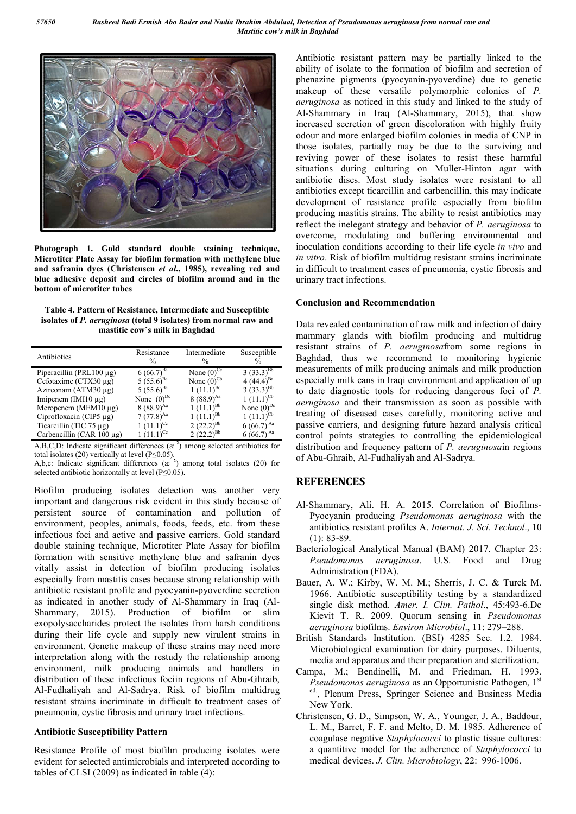

**Photograph 1. Gold standard double staining technique, Microtiter Plate Assay for biofilm formation with methylene blue and safranin dyes (Christensen** *et al***., 1985), revealing red and blue adhesive deposit and circles of biofilm around and in the bottom of microtiter tubes**

**Table 4. Pattern of Resistance, Intermediate and Susceptible isolates of** *P. aeruginosa* **(total 9 isolates) from normal raw and mastitic cow's milk in Baghdad**

| Antibiotics                    | Resistance<br>$\frac{0}{0}$ | Intermediate<br>$\frac{0}{0}$ | Susceptible<br>% |
|--------------------------------|-----------------------------|-------------------------------|------------------|
| Piperacillin (PRL100 $\mu$ g)  | $6(66.7)^{Ba}$              | None $(0)^{Cc}$               | $3(33.3)^{Bb}$   |
| Cefotaxime (CTX30 µg)          | $5(55.6)^{Ba}$              | None $(0)^{Cb}$               | 4 $(44.4)^{Ba}$  |
| Aztreonam (ATM30 $\mu$ g)      | 5 $(55.6)^{Ba}$             | $1(11.1)^{Bc}$                | 3 $(33.3)^{Bb}$  |
| Imipenem (IMI10 $\mu$ g)       | None $(0)^{Dc}$             | $8(88.9)^{Aa}$                | $1(11.1)^{Cb}$   |
| Meropenem (MEM $10 \mu$ g)     | $8(88.9)^{Aa}$              | $1(11.1)^{Bb}$                | None $(0)^{Dc}$  |
| Ciprofloxacin (CIP5 $\mu$ g)   | $7(77.8)^{Aa}$              | $1(11.1)^{Bb}$                | $1(11.1)^{Cb}$   |
| Ticarcillin (TIC $75 \mu g$ )  | $1(11.1)^{Cc}$              | 2 $(22.2)^{Bb}$               | $6(66.7)^{Aa}$   |
| Carbencillin (CAR $100 \mu$ g) | $1(11.1)^{Cc}$              | 2 $(22.2)^{Bb}$               | $6(66.7)^{Aa}$   |

A,B,C,D: Indicate significant differences (æ **<sup>2</sup>** ) among selected antibiotics for total isolates (20) vertically at level (P≤0.05).

A,b,c: Indicate significant differences  $(x<sup>2</sup>)$  among total isolates (20) for selected antibiotic horizontally at level  $(P< 0.05)$ .

Biofilm producing isolates detection was another very important and dangerous risk evident in this study because of persistent source of contamination and pollution of environment, peoples, animals, foods, feeds, etc. from these infectious foci and active and passive carriers. Gold standard double staining technique, Microtiter Plate Assay for biofilm formation with sensitive methylene blue and safranin dyes vitally assist in detection of biofilm producing isolates especially from mastitis cases because strong relationship with antibiotic resistant profile and pyocyanin-pyoverdine secretion as indicated in another study of Al-Shammary in Iraq (Al-Shammary, 2015). Production of biofilm or slim exopolysaccharides protect the isolates from harsh conditions during their life cycle and supply new virulent strains in environment. Genetic makeup of these strains may need more interpretation along with the restudy the relationship among environment, milk producing animals and handlers in distribution of these infectious fociin regions of Abu-Ghraib, Al-Fudhaliyah and Al-Sadrya. Risk of biofilm multidrug resistant strains incriminate in difficult to treatment cases of pneumonia, cystic fibrosis and urinary tract infections.

#### **Antibiotic Susceptibility Pattern**

Resistance Profile of most biofilm producing isolates were evident for selected antimicrobials and interpreted according to tables of CLSI (2009) as indicated in table (4):

Antibiotic resistant pattern may be partially linked to the ability of isolate to the formation of biofilm and secretion of phenazine pigments (pyocyanin-pyoverdine) due to genetic makeup of these versatile polymorphic colonies of *P. aeruginosa* as noticed in this study and linked to the study of Al-Shammary in Iraq (Al-Shammary, 2015), that show increased secretion of green discoloration with highly fruity odour and more enlarged biofilm colonies in media of CNP in those isolates, partially may be due to the surviving and reviving power of these isolates to resist these harmful situations during culturing on Muller-Hinton agar with antibiotic discs. Most study isolates were resistant to all antibiotics except ticarcillin and carbencillin, this may indicate development of resistance profile especially from biofilm producing mastitis strains. The ability to resist antibiotics may reflect the inelegant strategy and behavior of *P. aeruginosa* to overcome, modulating and buffering environmental and inoculation conditions according to their life cycle *in vivo* and *in vitro*. Risk of biofilm multidrug resistant strains incriminate in difficult to treatment cases of pneumonia, cystic fibrosis and urinary tract infections.

### **Conclusion and Recommendation**

Data revealed contamination of raw milk and infection of dairy mammary glands with biofilm producing and multidrug resistant strains of *P. aeruginosa*from some regions in Baghdad, thus we recommend to monitoring hygienic measurements of milk producing animals and milk production especially milk cans in Iraqi environment and application of up to date diagnostic tools for reducing dangerous foci of *P. aeruginosa* and their transmission as soon as possible with treating of diseased cases carefully, monitoring active and passive carriers, and designing future hazard analysis critical control points strategies to controlling the epidemiological distribution and frequency pattern of *P. aeruginosa*in regions of Abu-Ghraib, Al-Fudhaliyah and Al-Sadrya.

## **REFERENCES**

- Al-Shammary, Ali. H. A. 2015. Correlation of Biofilms-Pyocyanin producing *Pseudomonas aeruginosa* with the antibiotics resistant profiles A. *Internat. J. Sci. Technol*., 10 (1): 83-89.
- Bacteriological Analytical Manual (BAM) 2017. Chapter 23: *Pseudomonas aeruginosa*. U.S. Food and Drug Administration (FDA).
- Bauer, A. W.; Kirby, W. M. M.; Sherris, J. C. & Turck M. 1966. Antibiotic susceptibility testing by a standardized single disk method. *Amer. I. Clin. Pathol*., 45:493-6.De Kievit T. R. 2009. Quorum sensing in *Pseudomonas aeruginosa* biofilms. *Environ Microbiol*., 11: 279–288.
- British Standards Institution. (BSI) 4285 Sec. 1.2. 1984. Microbiological examination for dairy purposes. Diluents, media and apparatus and their preparation and sterilization.
- Campa, M.; Bendinelli, M. and Friedman, H. 1993. *Pseudomonas aeruginosa* as an Opportunistic Pathogen, 1<sup>st</sup> ed., Plenum Press, Springer Science and Business Media New York.
- Christensen, G. D., Simpson, W. A., Younger, J. A., Baddour, L. M., Barret, F. F. and Melto, D. M. 1985. Adherence of coagulase negative *Staphylococci* to plastic tissue cultures: a quantitive model for the adherence of *Staphylococci* to medical devices. *J. Clin. Microbiology*, 22: 996-1006.